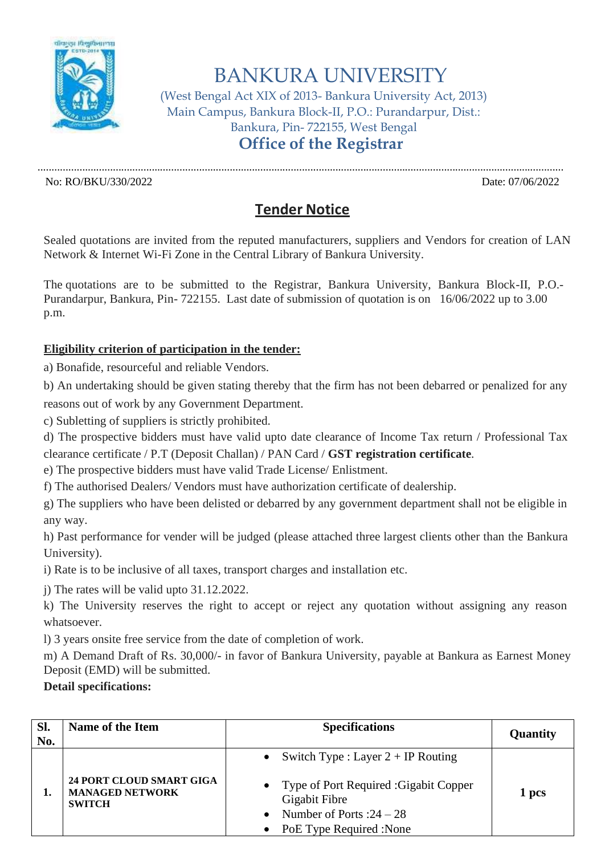

# BANKURA UNIVERSITY

(West Bengal Act XIX of 2013- Bankura University Act, 2013) Main Campus, Bankura Block-II, P.O.: Purandarpur, Dist.: Bankura, Pin- 722155, West Bengal **Office of the Registrar**

No: RO/BKU/330/2022 Date: 07/06/2022

## **Tender Notice**

.............................................................................................................................................................................................

Sealed quotations are invited from the reputed manufacturers, suppliers and Vendors for creation of LAN Network & Internet Wi-Fi Zone in the Central Library of Bankura University.

The quotations are to be submitted to the Registrar, Bankura University, Bankura Block-II, P.O.- Purandarpur, Bankura, Pin- 722155. Last date of submission of quotation is on 16/06/2022 up to 3.00 p.m.

### **Eligibility criterion of participation in the tender:**

a) Bonafide, resourceful and reliable Vendors.

b) An undertaking should be given stating thereby that the firm has not been debarred or penalized for any reasons out of work by any Government Department.

c) Subletting of suppliers is strictly prohibited.

d) The prospective bidders must have valid upto date clearance of Income Tax return / Professional Tax clearance certificate / P.T (Deposit Challan) / PAN Card / **GST registration certificate**.

e) The prospective bidders must have valid Trade License/ Enlistment.

f) The authorised Dealers/ Vendors must have authorization certificate of dealership.

g) The suppliers who have been delisted or debarred by any government department shall not be eligible in any way.

h) Past performance for vender will be judged (please attached three largest clients other than the Bankura University).

i) Rate is to be inclusive of all taxes, transport charges and installation etc.

j) The rates will be valid upto 31.12.2022.

k) The University reserves the right to accept or reject any quotation without assigning any reason whatsoever.

l) 3 years onsite free service from the date of completion of work.

m) A Demand Draft of Rs. 30,000/- in favor of Bankura University, payable at Bankura as Earnest Money Deposit (EMD) will be submitted.

#### **Detail specifications:**

| Sl.<br>No. | Name of the Item                                                           | <b>Specifications</b>                                                                                                                                          | Quantity |
|------------|----------------------------------------------------------------------------|----------------------------------------------------------------------------------------------------------------------------------------------------------------|----------|
|            | <b>24 PORT CLOUD SMART GIGA</b><br><b>MANAGED NETWORK</b><br><b>SWITCH</b> | • Switch Type : Layer $2 + IP$ Routing<br>• Type of Port Required : Gigabit Copper<br>Gigabit Fibre<br>Number of Ports : $24 - 28$<br>PoE Type Required : None | 1 pcs    |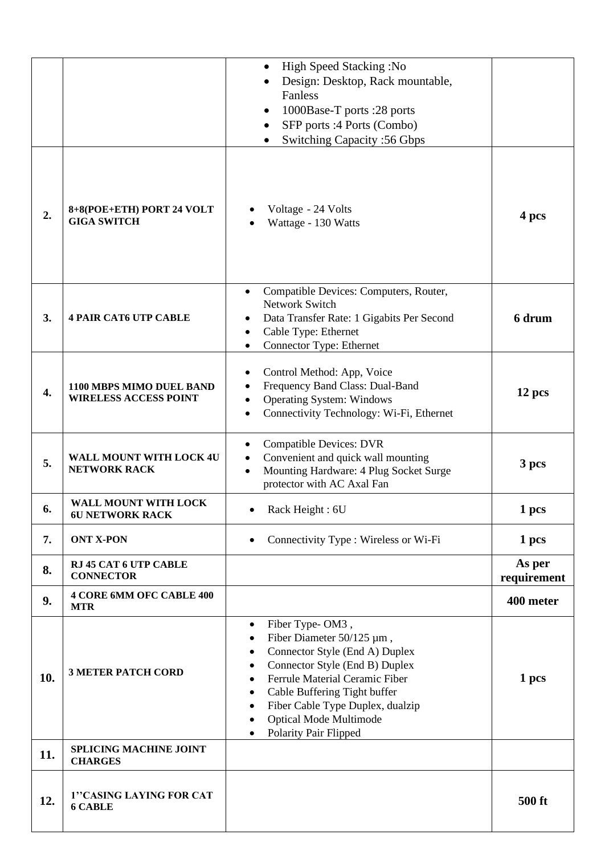|     |                                                          | High Speed Stacking: No<br>$\bullet$<br>Design: Desktop, Rack mountable,<br>Fanless<br>1000Base-T ports :28 ports<br>$\bullet$<br>SFP ports :4 Ports (Combo)<br>$\bullet$<br>Switching Capacity: 56 Gbps                                                                                                                                                                    |                       |
|-----|----------------------------------------------------------|-----------------------------------------------------------------------------------------------------------------------------------------------------------------------------------------------------------------------------------------------------------------------------------------------------------------------------------------------------------------------------|-----------------------|
| 2.  | 8+8(POE+ETH) PORT 24 VOLT<br><b>GIGA SWITCH</b>          | Voltage - 24 Volts<br>Wattage - 130 Watts                                                                                                                                                                                                                                                                                                                                   | 4 pcs                 |
| 3.  | <b>4 PAIR CAT6 UTP CABLE</b>                             | Compatible Devices: Computers, Router,<br><b>Network Switch</b><br>Data Transfer Rate: 1 Gigabits Per Second<br>Cable Type: Ethernet<br>Connector Type: Ethernet                                                                                                                                                                                                            | 6 drum                |
| 4.  | 1100 MBPS MIMO DUEL BAND<br><b>WIRELESS ACCESS POINT</b> | Control Method: App, Voice<br>Frequency Band Class: Dual-Band<br><b>Operating System: Windows</b><br>Connectivity Technology: Wi-Fi, Ethernet                                                                                                                                                                                                                               | 12 pcs                |
| 5.  | <b>WALL MOUNT WITH LOCK 4U</b><br><b>NETWORK RACK</b>    | <b>Compatible Devices: DVR</b><br>Convenient and quick wall mounting<br>Mounting Hardware: 4 Plug Socket Surge<br>protector with AC Axal Fan                                                                                                                                                                                                                                | 3 pcs                 |
| 6.  | WALL MOUNT WITH LOCK<br><b>6U NETWORK RACK</b>           | Rack Height: 6U                                                                                                                                                                                                                                                                                                                                                             | 1 pcs                 |
| 7.  | <b>ONT X-PON</b>                                         | Connectivity Type : Wireless or Wi-Fi<br>$\bullet$                                                                                                                                                                                                                                                                                                                          | 1 pcs                 |
| 8.  | RJ 45 CAT 6 UTP CABLE<br><b>CONNECTOR</b>                |                                                                                                                                                                                                                                                                                                                                                                             | As per<br>requirement |
| 9.  | <b>4 CORE 6MM OFC CABLE 400</b><br><b>MTR</b>            |                                                                                                                                                                                                                                                                                                                                                                             | 400 meter             |
| 10. | <b>3 METER PATCH CORD</b>                                | Fiber Type-OM3,<br>$\bullet$<br>Fiber Diameter $50/125 \mu m$ ,<br>٠<br>Connector Style (End A) Duplex<br>٠<br>Connector Style (End B) Duplex<br>٠<br>Ferrule Material Ceramic Fiber<br>$\bullet$<br>Cable Buffering Tight buffer<br>٠<br>Fiber Cable Type Duplex, dualzip<br>$\bullet$<br><b>Optical Mode Multimode</b><br>$\bullet$<br>Polarity Pair Flipped<br>$\bullet$ | 1 pcs                 |
| 11. | <b>SPLICING MACHINE JOINT</b><br><b>CHARGES</b>          |                                                                                                                                                                                                                                                                                                                                                                             |                       |
| 12. | 1"CASING LAYING FOR CAT<br><b>6 CABLE</b>                |                                                                                                                                                                                                                                                                                                                                                                             | 500 ft                |